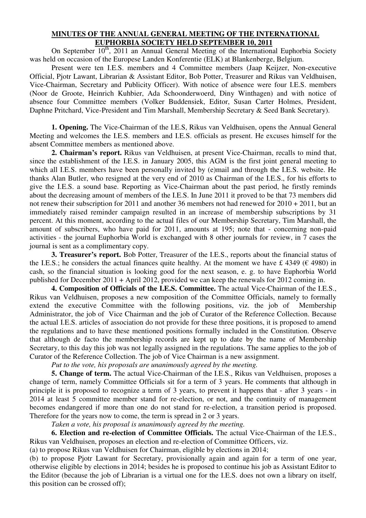## **MINUTES OF THE ANNUAL GENERAL MEETING OF THE INTERNATIONAL EUPHORBIA SOCIETY HELD SEPTEMBER 10, 2011**

On September  $10^{th}$ , 2011 an Annual General Meeting of the International Euphorbia Society was held on occasion of the Europese Landen Konferentie (ELK) at Blankenberge, Belgium.

Present were ten I.E.S. members and 4 Committee members (Jaap Keijzer, Non-executive Official, Pjotr Lawant, Librarian & Assistant Editor, Bob Potter, Treasurer and Rikus van Veldhuisen, Vice-Chairman, Secretary and Publicity Officer). With notice of absence were four I.E.S. members (Noor de Groote, Heinrich Kuhbier, Ada Schoonderwoerd, Diny Winthagen) and with notice of absence four Committee members (Volker Buddensiek, Editor, Susan Carter Holmes, President, Daphne Pritchard, Vice-President and Tim Marshall, Membership Secretary & Seed Bank Secretary).

**1. Opening.** The Vice-Chairman of the I.E.S, Rikus van Veldhuisen, opens the Annual General Meeting and welcomes the I.E.S. members and I.E.S. officials as present. He excuses himself for the absent Committee members as mentioned above.

**2. Chairman's report.** Rikus van Veldhuisen, at present Vice-Chairman, recalls to mind that, since the establishment of the I.E.S. in January 2005, this AGM is the first joint general meeting to which all I.E.S. members have been personally invited by (e)mail and through the I.E.S. website. He thanks Alan Butler, who resigned at the very end of 2010 as Chairman of the I.E.S., for his efforts to give the I.E.S. a sound base. Reporting as Vice-Chairman about the past period, he firstly reminds about the decreasing amount of members of the I.E.S. In June 2011 it proved to be that 73 members did not renew their subscription for 2011 and another 36 members not had renewed for 2010 + 2011, but an immediately raised reminder campaign resulted in an increase of membership subscriptions by 31 percent. At this moment, according to the actual files of our Membership Secretary, Tim Marshall, the amount of subscribers, who have paid for 2011, amounts at 195; note that - concerning non-paid activities - the journal Euphorbia World is exchanged with 8 other journals for review, in 7 cases the journal is sent as a complimentary copy.

**3. Treasurer's report.** Bob Potter, Treasurer of the I.E.S., reports about the financial status of the I.E.S.; he considers the actual finances quite healthy. At the moment we have £ 4349 ( $\epsilon$  4980) in cash, so the financial situation is looking good for the next season, e. g. to have Euphorbia World published for December 2011 + April 2012, provided we can keep the renewals for 2012 coming in.

**4. Composition of Officials of the I.E.S. Committee.** The actual Vice-Chairman of the I.E.S., Rikus van Veldhuisen, proposes a new composition of the Committee Officials, namely to formally extend the executive Committee with the following positions, viz. the job of Membership Administrator, the job of Vice Chairman and the job of Curator of the Reference Collection. Because the actual I.E.S. articles of association do not provide for these three positions, it is proposed to amend the regulations and to have these mentioned positions formally included in the Constitution. Observe that although de facto the membership records are kept up to date by the name of Membership Secretary, to this day this job was not legally assigned in the regulations. The same applies to the job of Curator of the Reference Collection. The job of Vice Chairman is a new assignment.

 *Put to the vote, his proposals are unanimously agreed by the meeting.* 

**5. Change of term.** The actual Vice-Chairman of the I.E.S., Rikus van Veldhuisen, proposes a change of term, namely Committee Officials sit for a term of 3 years. He comments that although in principle it is proposed to recognize a term of 3 years, to prevent it happens that - after 3 years - in 2014 at least 5 committee member stand for re-election, or not, and the continuity of management becomes endangered if more than one do not stand for re-election, a transition period is proposed. Therefore for the years now to come, the term is spread in 2 or 3 years.

 *Taken a vote, his proposal is unanimously agreed by the meeting.*

**6. Election and re-election of Committee Officials.** The actual Vice-Chairman of the I.E.S., Rikus van Veldhuisen, proposes an election and re-election of Committee Officers, viz.

(a) to propose Rikus van Veldhuisen for Chairman, eligible by elections in 2014;

(b) to propose Pjotr Lawant for Secretary, provisionally again and again for a term of one year, otherwise eligible by elections in 2014; besides he is proposed to continue his job as Assistant Editor to the Editor (because the job of Librarian is a virtual one for the I.E.S. does not own a library on itself, this position can be crossed off);